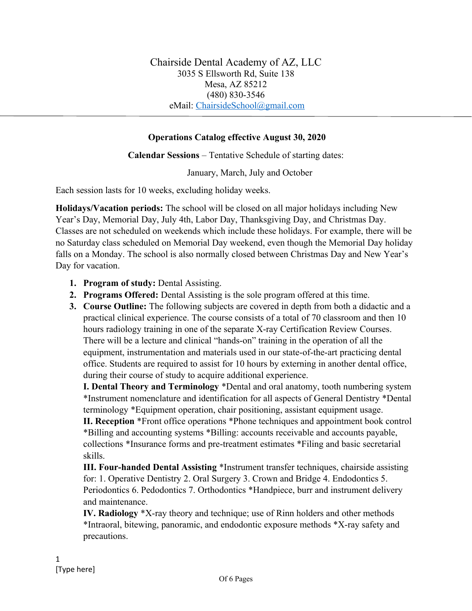## **Operations Catalog effective August 30, 2020**

**Calendar Sessions** – Tentative Schedule of starting dates:

January, March, July and October

Each session lasts for 10 weeks, excluding holiday weeks.

**Holidays/Vacation periods:** The school will be closed on all major holidays including New Year's Day, Memorial Day, July 4th, Labor Day, Thanksgiving Day, and Christmas Day. Classes are not scheduled on weekends which include these holidays. For example, there will be no Saturday class scheduled on Memorial Day weekend, even though the Memorial Day holiday falls on a Monday. The school is also normally closed between Christmas Day and New Year's Day for vacation.

- **1. Program of study:** Dental Assisting.
- **2. Programs Offered:** Dental Assisting is the sole program offered at this time.
- **3. Course Outline:** The following subjects are covered in depth from both a didactic and a practical clinical experience. The course consists of a total of 70 classroom and then 10 hours radiology training in one of the separate X-ray Certification Review Courses. There will be a lecture and clinical "hands-on" training in the operation of all the equipment, instrumentation and materials used in our state-of-the-art practicing dental office. Students are required to assist for 10 hours by externing in another dental office, during their course of study to acquire additional experience.

**I. Dental Theory and Terminology** \*Dental and oral anatomy, tooth numbering system \*Instrument nomenclature and identification for all aspects of General Dentistry \*Dental terminology \*Equipment operation, chair positioning, assistant equipment usage.

**II. Reception** \*Front office operations \*Phone techniques and appointment book control \*Billing and accounting systems \*Billing: accounts receivable and accounts payable, collections \*Insurance forms and pre-treatment estimates \*Filing and basic secretarial skills.

**III. Four-handed Dental Assisting** \*Instrument transfer techniques, chairside assisting for: 1. Operative Dentistry 2. Oral Surgery 3. Crown and Bridge 4. Endodontics 5. Periodontics 6. Pedodontics 7. Orthodontics \*Handpiece, burr and instrument delivery and maintenance.

**IV. Radiology** \*X-ray theory and technique; use of Rinn holders and other methods \*Intraoral, bitewing, panoramic, and endodontic exposure methods \*X-ray safety and precautions.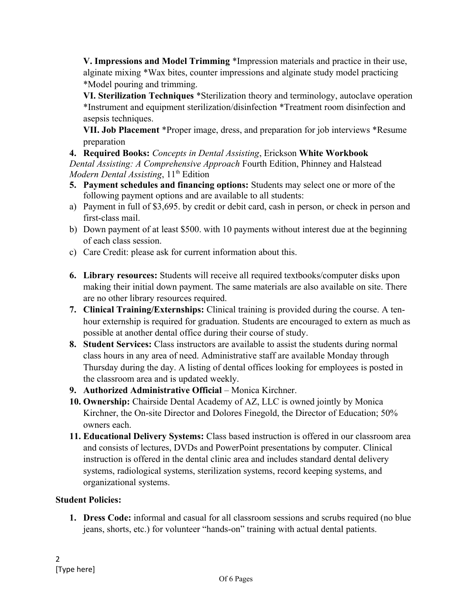**V. Impressions and Model Trimming** \*Impression materials and practice in their use, alginate mixing \*Wax bites, counter impressions and alginate study model practicing \*Model pouring and trimming.

**VI. Sterilization Techniques** \*Sterilization theory and terminology, autoclave operation \*Instrument and equipment sterilization/disinfection \*Treatment room disinfection and asepsis techniques.

**VII. Job Placement** \*Proper image, dress, and preparation for job interviews \*Resume preparation

**4. Required Books:** *Concepts in Dental Assisting*, Erickson **White Workbook**  *Dental Assisting: A Comprehensive Approach* Fourth Edition, Phinney and Halstead *Modern Dental Assisting*, 11<sup>th</sup> Edition

- **5. Payment schedules and financing options:** Students may select one or more of the following payment options and are available to all students:
- a) Payment in full of \$3,695. by credit or debit card, cash in person, or check in person and first-class mail.
- b) Down payment of at least \$500. with 10 payments without interest due at the beginning of each class session.
- c) Care Credit: please ask for current information about this.
- **6. Library resources:** Students will receive all required textbooks/computer disks upon making their initial down payment. The same materials are also available on site. There are no other library resources required.
- **7. Clinical Training/Externships:** Clinical training is provided during the course. A tenhour externship is required for graduation. Students are encouraged to extern as much as possible at another dental office during their course of study.
- **8. Student Services:** Class instructors are available to assist the students during normal class hours in any area of need. Administrative staff are available Monday through Thursday during the day. A listing of dental offices looking for employees is posted in the classroom area and is updated weekly.
- **9. Authorized Administrative Official** Monica Kirchner.
- **10. Ownership:** Chairside Dental Academy of AZ, LLC is owned jointly by Monica Kirchner, the On-site Director and Dolores Finegold, the Director of Education; 50% owners each.
- **11. Educational Delivery Systems:** Class based instruction is offered in our classroom area and consists of lectures, DVDs and PowerPoint presentations by computer. Clinical instruction is offered in the dental clinic area and includes standard dental delivery systems, radiological systems, sterilization systems, record keeping systems, and organizational systems.

## **Student Policies:**

**1. Dress Code:** informal and casual for all classroom sessions and scrubs required (no blue jeans, shorts, etc.) for volunteer "hands-on" training with actual dental patients.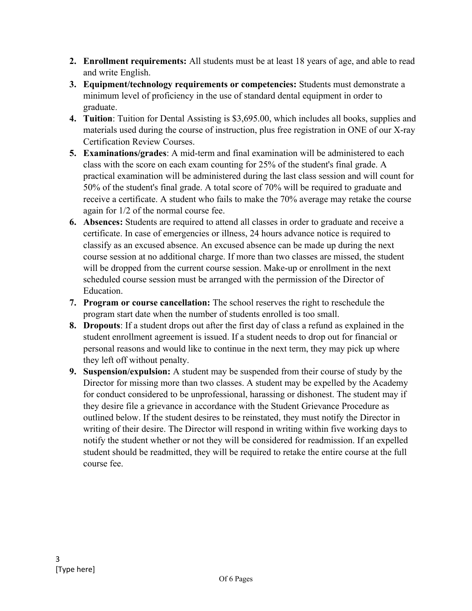- **2. Enrollment requirements:** All students must be at least 18 years of age, and able to read and write English.
- **3. Equipment/technology requirements or competencies:** Students must demonstrate a minimum level of proficiency in the use of standard dental equipment in order to graduate.
- **4. Tuition**: Tuition for Dental Assisting is \$3,695.00, which includes all books, supplies and materials used during the course of instruction, plus free registration in ONE of our X-ray Certification Review Courses.
- **5. Examinations/grades**: A mid-term and final examination will be administered to each class with the score on each exam counting for 25% of the student's final grade. A practical examination will be administered during the last class session and will count for 50% of the student's final grade. A total score of 70% will be required to graduate and receive a certificate. A student who fails to make the 70% average may retake the course again for 1/2 of the normal course fee.
- **6. Absences:** Students are required to attend all classes in order to graduate and receive a certificate. In case of emergencies or illness, 24 hours advance notice is required to classify as an excused absence. An excused absence can be made up during the next course session at no additional charge. If more than two classes are missed, the student will be dropped from the current course session. Make-up or enrollment in the next scheduled course session must be arranged with the permission of the Director of Education.
- **7. Program or course cancellation:** The school reserves the right to reschedule the program start date when the number of students enrolled is too small.
- **8. Dropouts**: If a student drops out after the first day of class a refund as explained in the student enrollment agreement is issued. If a student needs to drop out for financial or personal reasons and would like to continue in the next term, they may pick up where they left off without penalty.
- **9. Suspension/expulsion:** A student may be suspended from their course of study by the Director for missing more than two classes. A student may be expelled by the Academy for conduct considered to be unprofessional, harassing or dishonest. The student may if they desire file a grievance in accordance with the Student Grievance Procedure as outlined below. If the student desires to be reinstated, they must notify the Director in writing of their desire. The Director will respond in writing within five working days to notify the student whether or not they will be considered for readmission. If an expelled student should be readmitted, they will be required to retake the entire course at the full course fee.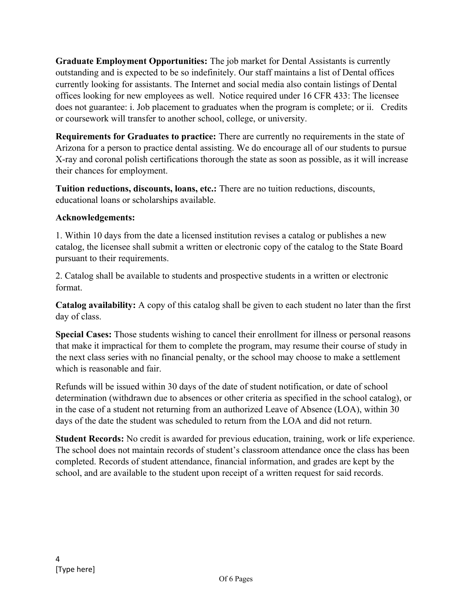**Graduate Employment Opportunities:** The job market for Dental Assistants is currently outstanding and is expected to be so indefinitely. Our staff maintains a list of Dental offices currently looking for assistants. The Internet and social media also contain listings of Dental offices looking for new employees as well. Notice required under 16 CFR 433: The licensee does not guarantee: i. Job placement to graduates when the program is complete; or ii. Credits or coursework will transfer to another school, college, or university.

**Requirements for Graduates to practice:** There are currently no requirements in the state of Arizona for a person to practice dental assisting. We do encourage all of our students to pursue X-ray and coronal polish certifications thorough the state as soon as possible, as it will increase their chances for employment.

**Tuition reductions, discounts, loans, etc.:** There are no tuition reductions, discounts, educational loans or scholarships available.

## **Acknowledgements:**

1. Within 10 days from the date a licensed institution revises a catalog or publishes a new catalog, the licensee shall submit a written or electronic copy of the catalog to the State Board pursuant to their requirements.

2. Catalog shall be available to students and prospective students in a written or electronic format.

**Catalog availability:** A copy of this catalog shall be given to each student no later than the first day of class.

**Special Cases:** Those students wishing to cancel their enrollment for illness or personal reasons that make it impractical for them to complete the program, may resume their course of study in the next class series with no financial penalty, or the school may choose to make a settlement which is reasonable and fair.

Refunds will be issued within 30 days of the date of student notification, or date of school determination (withdrawn due to absences or other criteria as specified in the school catalog), or in the case of a student not returning from an authorized Leave of Absence (LOA), within 30 days of the date the student was scheduled to return from the LOA and did not return.

**Student Records:** No credit is awarded for previous education, training, work or life experience. The school does not maintain records of student's classroom attendance once the class has been completed. Records of student attendance, financial information, and grades are kept by the school, and are available to the student upon receipt of a written request for said records.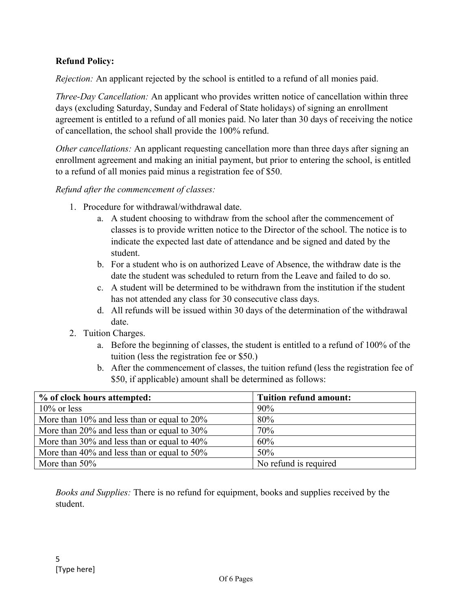## **Refund Policy:**

*Rejection:* An applicant rejected by the school is entitled to a refund of all monies paid.

*Three-Day Cancellation:* An applicant who provides written notice of cancellation within three days (excluding Saturday, Sunday and Federal of State holidays) of signing an enrollment agreement is entitled to a refund of all monies paid. No later than 30 days of receiving the notice of cancellation, the school shall provide the 100% refund.

*Other cancellations:* An applicant requesting cancellation more than three days after signing an enrollment agreement and making an initial payment, but prior to entering the school, is entitled to a refund of all monies paid minus a registration fee of \$50.

*Refund after the commencement of classes:* 

- 1. Procedure for withdrawal/withdrawal date.
	- a. A student choosing to withdraw from the school after the commencement of classes is to provide written notice to the Director of the school. The notice is to indicate the expected last date of attendance and be signed and dated by the student.
	- b. For a student who is on authorized Leave of Absence, the withdraw date is the date the student was scheduled to return from the Leave and failed to do so.
	- c. A student will be determined to be withdrawn from the institution if the student has not attended any class for 30 consecutive class days.
	- d. All refunds will be issued within 30 days of the determination of the withdrawal date.
- 2. Tuition Charges.
	- a. Before the beginning of classes, the student is entitled to a refund of 100% of the tuition (less the registration fee or \$50.)
	- b. After the commencement of classes, the tuition refund (less the registration fee of \$50, if applicable) amount shall be determined as follows:

| % of clock hours attempted:                       | <b>Tuition refund amount:</b> |
|---------------------------------------------------|-------------------------------|
| $10\%$ or less                                    | 90%                           |
| More than $10\%$ and less than or equal to $20\%$ | 80%                           |
| More than $20\%$ and less than or equal to $30\%$ | 70%                           |
| More than $30\%$ and less than or equal to $40\%$ | 60%                           |
| More than $40\%$ and less than or equal to $50\%$ | 50%                           |
| More than $50\%$                                  | No refund is required         |

*Books and Supplies:* There is no refund for equipment, books and supplies received by the student.